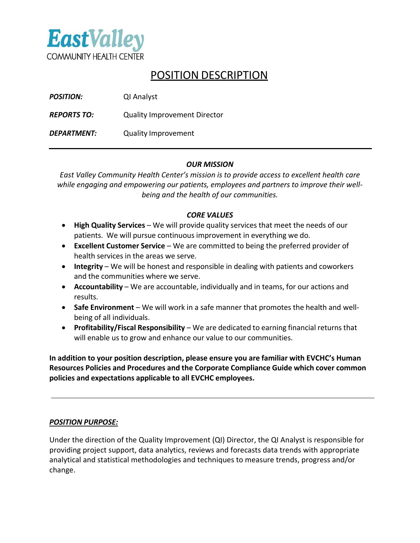

# POSITION DESCRIPTION

| <b>POSITION:</b>   | QI Analyst                          |
|--------------------|-------------------------------------|
| <b>REPORTS TO:</b> | <b>Quality Improvement Director</b> |
| <b>DEPARTMENT:</b> | <b>Quality Improvement</b>          |

## *OUR MISSION*

*East Valley Community Health Center's mission is to provide access to excellent health care while engaging and empowering our patients, employees and partners to improve their wellbeing and the health of our communities.*

### *CORE VALUES*

- **High Quality Services**  We will provide quality services that meet the needs of our patients. We will pursue continuous improvement in everything we do.
- **Excellent Customer Service** We are committed to being the preferred provider of health services in the areas we serve.
- **Integrity** We will be honest and responsible in dealing with patients and coworkers and the communities where we serve.
- **Accountability** We are accountable, individually and in teams, for our actions and results.
- **Safe Environment**  We will work in a safe manner that promotes the health and wellbeing of all individuals.
- **Profitability/Fiscal Responsibility** We are dedicated to earning financial returnsthat will enable us to grow and enhance our value to our communities.

**In addition to your position description, please ensure you are familiar with EVCHC's Human Resources Policies and Procedures and the Corporate Compliance Guide which cover common policies and expectations applicable to all EVCHC employees.**

## *POSITION PURPOSE:*

Under the direction of the Quality Improvement (QI) Director, the QI Analyst is responsible for providing project support, data analytics, reviews and forecasts data trends with appropriate analytical and statistical methodologies and techniques to measure trends, progress and/or change.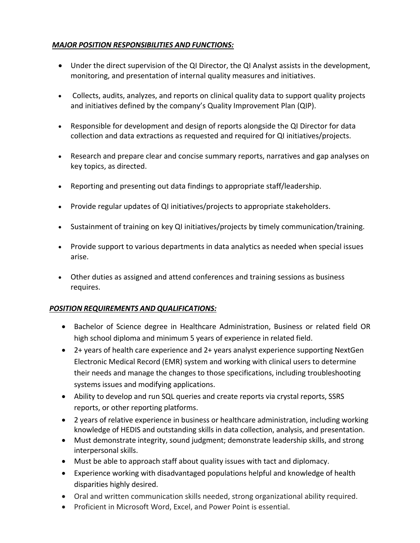# *MAJOR POSITION RESPONSIBILITIES AND FUNCTIONS:*

- Under the direct supervision of the QI Director, the QI Analyst assists in the development, monitoring, and presentation of internal quality measures and initiatives.
- Collects, audits, analyzes, and reports on clinical quality data to support quality projects and initiatives defined by the company's Quality Improvement Plan (QIP).
- Responsible for development and design of reports alongside the QI Director for data collection and data extractions as requested and required for QI initiatives/projects.
- Research and prepare clear and concise summary reports, narratives and gap analyses on key topics, as directed.
- Reporting and presenting out data findings to appropriate staff/leadership.
- Provide regular updates of QI initiatives/projects to appropriate stakeholders.
- Sustainment of training on key QI initiatives/projects by timely communication/training.
- Provide support to various departments in data analytics as needed when special issues arise.
- Other duties as assigned and attend conferences and training sessions as business requires.

## *POSITION REQUIREMENTS AND QUALIFICATIONS:*

- Bachelor of Science degree in Healthcare Administration, Business or related field OR high school diploma and minimum 5 years of experience in related field.
- 2+ years of health care experience and 2+ years analyst experience supporting NextGen Electronic Medical Record (EMR) system and working with clinical users to determine their needs and manage the changes to those specifications, including troubleshooting systems issues and modifying applications.
- Ability to develop and run SQL queries and create reports via crystal reports, SSRS reports, or other reporting platforms.
- 2 years of relative experience in business or healthcare administration, including working knowledge of HEDIS and outstanding skills in data collection, analysis, and presentation.
- Must demonstrate integrity, sound judgment; demonstrate leadership skills, and strong interpersonal skills.
- Must be able to approach staff about quality issues with tact and diplomacy.
- Experience working with disadvantaged populations helpful and knowledge of health disparities highly desired.
- Oral and written communication skills needed, strong organizational ability required.
- Proficient in Microsoft Word, Excel, and Power Point is essential.